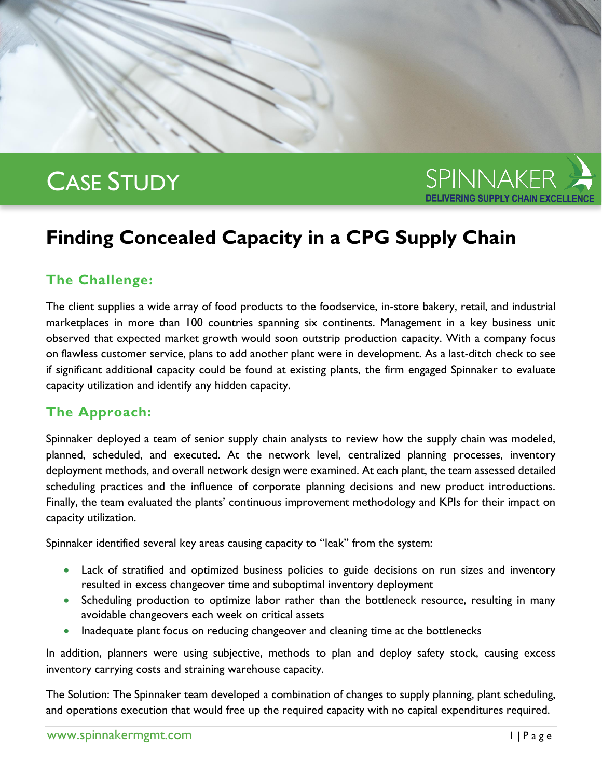# CASE STUDY



## **Finding Concealed Capacity in a CPG Supply Chain**

### **The Challenge:**

The client supplies a wide array of food products to the foodservice, in-store bakery, retail, and industrial marketplaces in more than 100 countries spanning six continents. Management in a key business unit observed that expected market growth would soon outstrip production capacity. With a company focus on flawless customer service, plans to add another plant were in development. As a last-ditch check to see if significant additional capacity could be found at existing plants, the firm engaged Spinnaker to evaluate capacity utilization and identify any hidden capacity.

### **The Approach:**

Spinnaker deployed a team of senior supply chain analysts to review how the supply chain was modeled, planned, scheduled, and executed. At the network level, centralized planning processes, inventory deployment methods, and overall network design were examined. At each plant, the team assessed detailed scheduling practices and the influence of corporate planning decisions and new product introductions. Finally, the team evaluated the plants' continuous improvement methodology and KPIs for their impact on capacity utilization.

Spinnaker identified several key areas causing capacity to "leak" from the system:

- Lack of stratified and optimized business policies to guide decisions on run sizes and inventory resulted in excess changeover time and suboptimal inventory deployment
- Scheduling production to optimize labor rather than the bottleneck resource, resulting in many avoidable changeovers each week on critical assets
- Inadequate plant focus on reducing changeover and cleaning time at the bottlenecks

In addition, planners were using subjective, methods to plan and deploy safety stock, causing excess inventory carrying costs and straining warehouse capacity.

The Solution: The Spinnaker team developed a combination of changes to supply planning, plant scheduling, and operations execution that would free up the required capacity with no capital expenditures required.